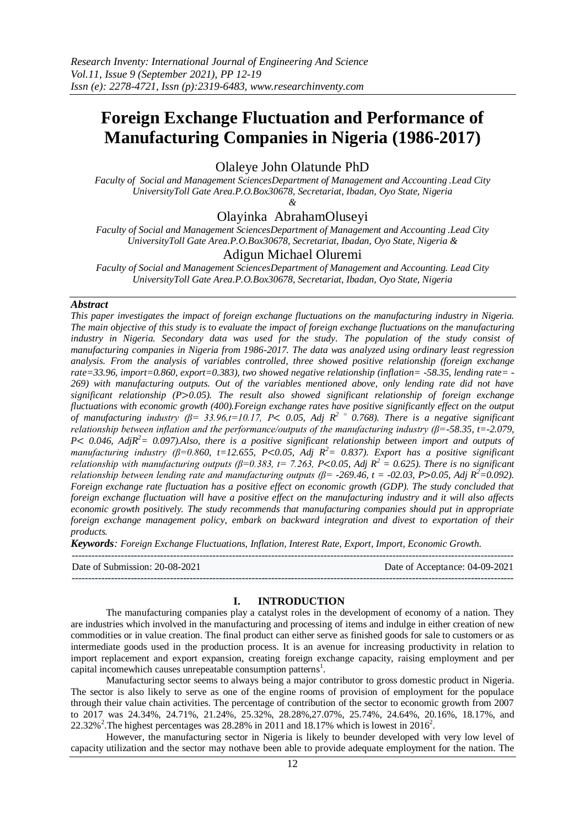# **Foreign Exchange Fluctuation and Performance of Manufacturing Companies in Nigeria (1986-2017)**

Olaleye John Olatunde PhD

*Faculty of Social and Management SciencesDepartment of Management and Accounting .Lead City UniversityToll Gate Area.P.O.Box30678, Secretariat, Ibadan, Oyo State, Nigeria* 

*&*

Olayinka AbrahamOluseyi

*Faculty of Social and Management SciencesDepartment of Management and Accounting .Lead City UniversityToll Gate Area.P.O.Box30678, Secretariat, Ibadan, Oyo State, Nigeria &*

# Adigun Michael Oluremi

*Faculty of Social and Management SciencesDepartment of Management and Accounting. Lead City UniversityToll Gate Area.P.O.Box30678, Secretariat, Ibadan, Oyo State, Nigeria* 

### *Abstract*

*This paper investigates the impact of foreign exchange fluctuations on the manufacturing industry in Nigeria. The main objective of this study is to evaluate the impact of foreign exchange fluctuations on the manufacturing industry in Nigeria. Secondary data was used for the study. The population of the study consist of manufacturing companies in Nigeria from 1986-2017. The data was analyzed using ordinary least regression analysis. From the analysis of variables controlled, three showed positive relationship (foreign exchange rate=33.96, import=0.860, export=0.383), two showed negative relationship (inflation= -58.35, lending rate= - 269) with manufacturing outputs. Out of the variables mentioned above, only lending rate did not have significant relationship (P 0.05). The result also showed significant relationship of foreign exchange fluctuations with economic growth (400).Foreign exchange rates have positive significantly effect on the output of manufacturing industry (β= 33.96,t=10.17, P 0.05, Adj R<sup>2</sup> <sup>=</sup>0.768). There is a negative significant relationship between inflation and the performance/outputs of the manufacturing industry (β=-58.35, t=-2.079, P 0.046, AdjR<sup>2</sup>= 0.097).Also, there is a positive significant relationship between import and outputs of manufacturing industry (β=0.860, t=12.655, P 0.05, Adj R<sup>2</sup>= 0.837). Export has a positive significant relationship with manufacturing outputs (β=0.383, t= 7.263, P<0.05, Adj*  $R^2 = 0.625$ *). There is no significant relationship between lending rate and manufacturing outputs (* $\beta$ *= -269.46, t = -02.03, P>0.05, Adj R<sup>2</sup>=0.092). Foreign exchange rate fluctuation has a positive effect on economic growth (GDP). The study concluded that foreign exchange fluctuation will have a positive effect on the manufacturing industry and it will also affects economic growth positively. The study recommends that manufacturing companies should put in appropriate foreign exchange management policy, embark on backward integration and divest to exportation of their products.*

*Keywords: Foreign Exchange Fluctuations, Inflation, Interest Rate, Export, Import, Economic Growth.*

--------------------------------------------------------------------------------------------------------------------------------------- Date of Submission: 20-08-2021 Date of Acceptance: 04-09-2021

## **I. INTRODUCTION**

---------------------------------------------------------------------------------------------------------------------------------------

The manufacturing companies play a catalyst roles in the development of economy of a nation. They are industries which involved in the manufacturing and processing of items and indulge in either creation of new commodities or in value creation. The final product can either serve as finished goods for sale to customers or as intermediate goods used in the production process. It is an avenue for increasing productivity in relation to import replacement and export expansion, creating foreign exchange capacity, raising employment and per capital incomewhich causes unrepeatable consumption patterns<sup>1</sup>.

Manufacturing sector seems to always being a major contributor to gross domestic product in Nigeria. The sector is also likely to serve as one of the engine rooms of provision of employment for the populace through their value chain activities. The percentage of contribution of the sector to economic growth from 2007 to 2017 was 24.34%, 24.71%, 21.24%, 25.32%, 28.28%,27.07%, 25.74%, 24.64%, 20.16%, 18.17%, and 22.32%<sup>2</sup>. The highest percentages was 28.28% in 2011 and 18.17% which is lowest in 2016<sup>2</sup>.

However, the manufacturing sector in Nigeria is likely to beunder developed with very low level of capacity utilization and the sector may nothave been able to provide adequate employment for the nation. The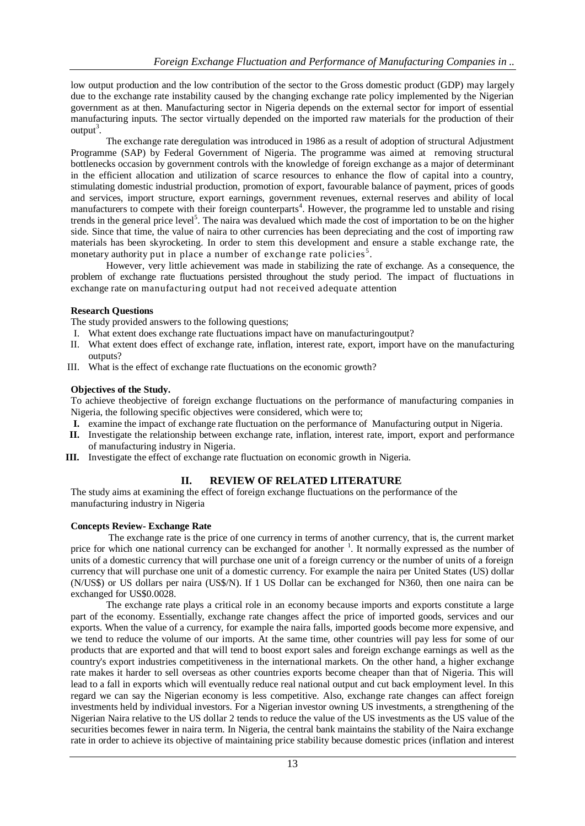low output production and the low contribution of the sector to the Gross domestic product (GDP) may largely due to the exchange rate instability caused by the changing exchange rate policy implemented by the Nigerian government as at then. Manufacturing sector in Nigeria depends on the external sector for import of essential manufacturing inputs. The sector virtually depended on the imported raw materials for the production of their  $output^3$ .

The exchange rate deregulation was introduced in 1986 as a result of adoption of structural Adjustment Programme (SAP) by Federal Government of Nigeria. The programme was aimed at removing structural bottlenecks occasion by government controls with the knowledge of foreign exchange as a major of determinant in the efficient allocation and utilization of scarce resources to enhance the flow of capital into a country, stimulating domestic industrial production, promotion of export, favourable balance of payment, prices of goods and services, import structure, export earnings, government revenues, external reserves and ability of local manufacturers to compete with their foreign counterparts<sup>4</sup>. However, the programme led to unstable and rising trends in the general price level<sup>5</sup>. The naira was devalued which made the cost of importation to be on the higher side. Since that time, the value of naira to other currencies has been depreciating and the cost of importing raw materials has been skyrocketing. In order to stem this development and ensure a stable exchange rate, the monetary authority put in place a number of exchange rate policies<sup>5</sup>.

However, very little achievement was made in stabilizing the rate of exchange. As a consequence, the problem of exchange rate fluctuations persisted throughout the study period. The impact of fluctuations in exchange rate on manufacturing output had not received adequate attention

## **Research Questions**

The study provided answers to the following questions;

- I. What extent does exchange rate fluctuations impact have on manufacturingoutput?
- II. What extent does effect of exchange rate, inflation, interest rate, export, import have on the manufacturing outputs?
- III. What is the effect of exchange rate fluctuations on the economic growth?

#### **Objectives of the Study.**

To achieve theobjective of foreign exchange fluctuations on the performance of manufacturing companies in Nigeria, the following specific objectives were considered, which were to;

- **I.** examine the impact of exchange rate fluctuation on the performance of Manufacturing output in Nigeria.
- **II.** Investigate the relationship between exchange rate, inflation, interest rate, import, export and performance of manufacturing industry in Nigeria.
- **III.** Investigate the effect of exchange rate fluctuation on economic growth in Nigeria.

## **II. REVIEW OF RELATED LITERATURE**

The study aims at examining the effect of foreign exchange fluctuations on the performance of the manufacturing industry in Nigeria

## **Concepts Review- Exchange Rate**

The exchange rate is the price of one currency in terms of another currency, that is, the current market price for which one national currency can be exchanged for another <sup>1</sup>. It normally expressed as the number of units of a domestic currency that will purchase one unit of a foreign currency or the number of units of a foreign currency that will purchase one unit of a domestic currency. For example the naira per United States (US) dollar (N/US\$) or US dollars per naira (US\$/N). If 1 US Dollar can be exchanged for N360, then one naira can be exchanged for US\$0.0028.

The exchange rate plays a critical role in an economy because imports and exports constitute a large part of the economy. Essentially, exchange rate changes affect the price of imported goods, services and our exports. When the value of a currency, for example the naira falls, imported goods become more expensive, and we tend to reduce the volume of our imports. At the same time, other countries will pay less for some of our products that are exported and that will tend to boost export sales and foreign exchange earnings as well as the country's export industries competitiveness in the international markets. On the other hand, a higher exchange rate makes it harder to sell overseas as other countries exports become cheaper than that of Nigeria. This will lead to a fall in exports which will eventually reduce real national output and cut back employment level. In this regard we can say the Nigerian economy is less competitive. Also, exchange rate changes can affect foreign investments held by individual investors. For a Nigerian investor owning US investments, a strengthening of the Nigerian Naira relative to the US dollar 2 tends to reduce the value of the US investments as the US value of the securities becomes fewer in naira term. In Nigeria, the central bank maintains the stability of the Naira exchange rate in order to achieve its objective of maintaining price stability because domestic prices (inflation and interest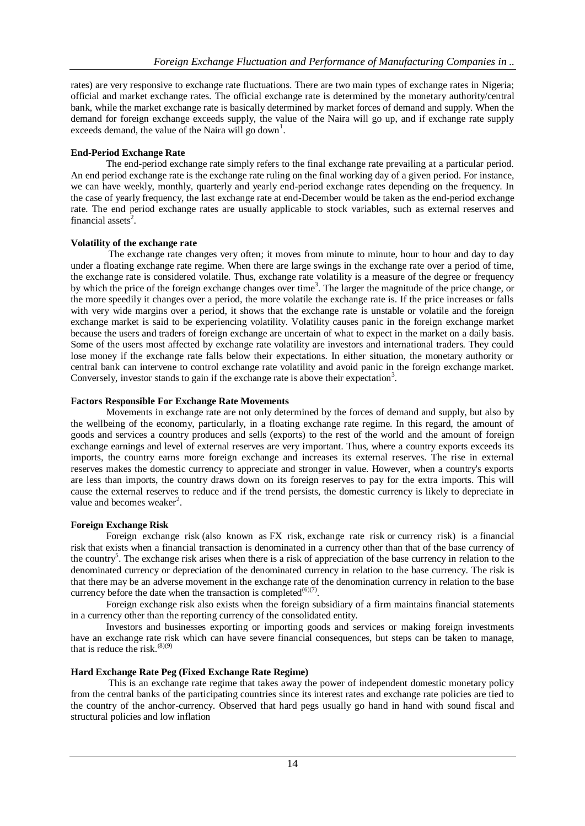rates) are very responsive to exchange rate fluctuations. There are two main types of exchange rates in Nigeria; official and market exchange rates. The official exchange rate is determined by the monetary authority/central bank, while the market exchange rate is basically determined by market forces of demand and supply. When the demand for foreign exchange exceeds supply, the value of the Naira will go up, and if exchange rate supply exceeds demand, the value of the Naira will go down<sup>1</sup>.

## **End-Period Exchange Rate**

The end-period exchange rate simply refers to the final exchange rate prevailing at a particular period. An end period exchange rate is the exchange rate ruling on the final working day of a given period. For instance, we can have weekly, monthly, quarterly and yearly end-period exchange rates depending on the frequency. In the case of yearly frequency, the last exchange rate at end-December would be taken as the end-period exchange rate. The end period exchange rates are usually applicable to stock variables, such as external reserves and financial assets<sup>2</sup>.

## **Volatility of the exchange rate**

The exchange rate changes very often; it moves from minute to minute, hour to hour and day to day under a floating exchange rate regime. When there are large swings in the exchange rate over a period of time, the exchange rate is considered volatile. Thus, exchange rate volatility is a measure of the degree or frequency by which the price of the foreign exchange changes over time<sup>3</sup>. The larger the magnitude of the price change, or the more speedily it changes over a period, the more volatile the exchange rate is. If the price increases or falls with very wide margins over a period, it shows that the exchange rate is unstable or volatile and the foreign exchange market is said to be experiencing volatility. Volatility causes panic in the foreign exchange market because the users and traders of foreign exchange are uncertain of what to expect in the market on a daily basis. Some of the users most affected by exchange rate volatility are investors and international traders. They could lose money if the exchange rate falls below their expectations. In either situation, the monetary authority or central bank can intervene to control exchange rate volatility and avoid panic in the foreign exchange market. Conversely, investor stands to gain if the exchange rate is above their expectation<sup>3</sup>.

## **Factors Responsible For Exchange Rate Movements**

Movements in exchange rate are not only determined by the forces of demand and supply, but also by the wellbeing of the economy, particularly, in a floating exchange rate regime. In this regard, the amount of goods and services a country produces and sells (exports) to the rest of the world and the amount of foreign exchange earnings and level of external reserves are very important. Thus, where a country exports exceeds its imports, the country earns more foreign exchange and increases its external reserves. The rise in external reserves makes the domestic currency to appreciate and stronger in value. However, when a country's exports are less than imports, the country draws down on its foreign reserves to pay for the extra imports. This will cause the external reserves to reduce and if the trend persists, the domestic currency is likely to depreciate in value and becomes weaker<sup>2</sup>.

# **Foreign Exchange Risk**

Foreign exchange risk (also known as FX risk, exchange rate risk or currency risk) is a financial risk that exists when a financial transaction is denominated in a currency other than that of the base currency of the country<sup>5</sup>. The exchange risk arises when there is a risk of appreciation of the base currency in relation to the denominated currency or depreciation of the denominated currency in relation to the base currency. The risk is that there may be an adverse movement in the exchange rate of the denomination currency in relation to the base currency before the date when the transaction is completed $(6)(7)$ .

Foreign exchange risk also exists when the foreign subsidiary of a firm maintains financial statements in a currency other than the reporting currency of the consolidated entity.

Investors and businesses exporting or importing goods and services or making foreign investments have an exchange rate risk which can have severe financial consequences, but steps can be taken to manage, that is reduce the risk. $^{(8)(9)}$ 

## **Hard Exchange Rate Peg (Fixed Exchange Rate Regime)**

This is an exchange rate regime that takes away the power of independent domestic monetary policy from the central banks of the participating countries since its interest rates and exchange rate policies are tied to the country of the anchor-currency. Observed that hard pegs usually go hand in hand with sound fiscal and structural policies and low inflation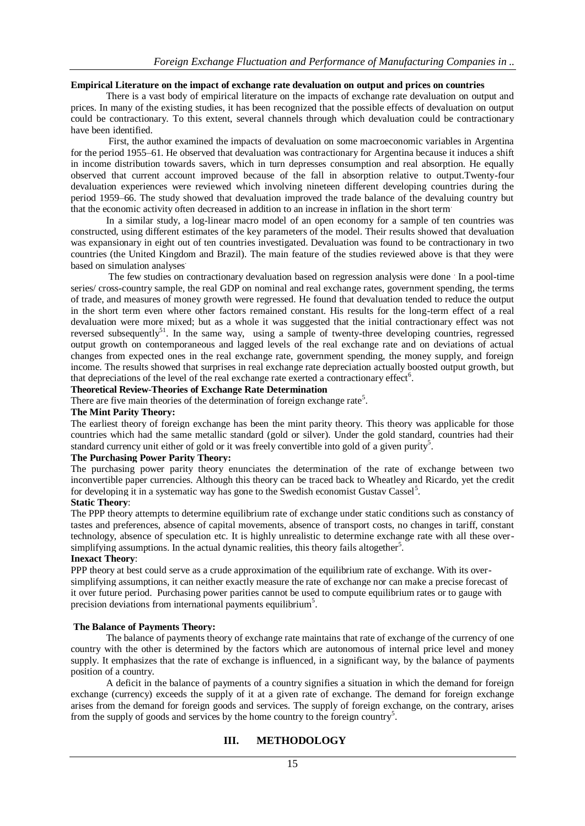## **Empirical Literature on the impact of exchange rate devaluation on output and prices on countries**

There is a vast body of empirical literature on the impacts of exchange rate devaluation on output and prices. In many of the existing studies, it has been recognized that the possible effects of devaluation on output could be contractionary. To this extent, several channels through which devaluation could be contractionary have been identified.

First, the author examined the impacts of devaluation on some macroeconomic variables in Argentina for the period 1955–61. He observed that devaluation was contractionary for Argentina because it induces a shift in income distribution towards savers, which in turn depresses consumption and real absorption. He equally observed that current account improved because of the fall in absorption relative to output.Twenty-four devaluation experiences were reviewed which involving nineteen different developing countries during the period 1959–66. The study showed that devaluation improved the trade balance of the devaluing country but that the economic activity often decreased in addition to an increase in inflation in the short term.

In a similar study, a log-linear macro model of an open economy for a sample of ten countries was constructed, using different estimates of the key parameters of the model. Their results showed that devaluation was expansionary in eight out of ten countries investigated. Devaluation was found to be contractionary in two countries (the United Kingdom and Brazil). The main feature of the studies reviewed above is that they were based on simulation analyses.

The few studies on contractionary devaluation based on regression analysis were done In a pool-time series/ cross-country sample, the real GDP on nominal and real exchange rates, government spending, the terms of trade, and measures of money growth were regressed. He found that devaluation tended to reduce the output in the short term even where other factors remained constant. His results for the long-term effect of a real devaluation were more mixed; but as a whole it was suggested that the initial contractionary effect was not reversed subsequently<sup>51</sup>. In the same way, using a sample of twenty-three developing countries, regressed output growth on contemporaneous and lagged levels of the real exchange rate and on deviations of actual changes from expected ones in the real exchange rate, government spending, the money supply, and foreign income. The results showed that surprises in real exchange rate depreciation actually boosted output growth, but that depreciations of the level of the real exchange rate exerted a contractionary effect<sup>6</sup>.

#### **Theoretical Review**-**Theories of Exchange Rate Determination**

There are five main theories of the determination of foreign exchange rate<sup>5</sup>.

## **The Mint Parity Theory:**

The earliest theory of foreign exchange has been the mint parity theory. This theory was applicable for those countries which had the same metallic standard (gold or silver). Under the gold standard, countries had their standard currency unit either of gold or it was freely convertible into gold of a given purity<sup>5</sup>.

### **The Purchasing Power Parity Theory:**

The purchasing power parity theory enunciates the determination of the rate of exchange between two inconvertible paper currencies. Although this theory can be traced back to Wheatley and Ricardo, yet the credit for developing it in a systematic way has gone to the Swedish economist Gustav Cassel<sup>5</sup>.

## **Static Theory**:

The PPP theory attempts to determine equilibrium rate of exchange under static conditions such as constancy of tastes and preferences, absence of capital movements, absence of transport costs, no changes in tariff, constant technology, absence of speculation etc. It is highly unrealistic to determine exchange rate with all these oversimplifying assumptions. In the actual dynamic realities, this theory fails altogether<sup>5</sup>.

#### **Inexact Theory**:

PPP theory at best could serve as a crude approximation of the equilibrium rate of exchange. With its oversimplifying assumptions, it can neither exactly measure the rate of exchange nor can make a precise forecast of it over future period. Purchasing power parities cannot be used to compute equilibrium rates or to gauge with precision deviations from international payments equilibrium<sup>5</sup>.

#### **The Balance of Payments Theory:**

The balance of payments theory of exchange rate maintains that rate of exchange of the currency of one country with the other is determined by the factors which are autonomous of internal price level and money supply. It emphasizes that the rate of exchange is influenced, in a significant way, by the balance of payments position of a country.

A deficit in the balance of payments of a country signifies a situation in which the demand for foreign exchange (currency) exceeds the supply of it at a given rate of exchange. The demand for foreign exchange arises from the demand for foreign goods and services. The supply of foreign exchange, on the contrary, arises from the supply of goods and services by the home country to the foreign country<sup>5</sup>.

# **III. METHODOLOGY**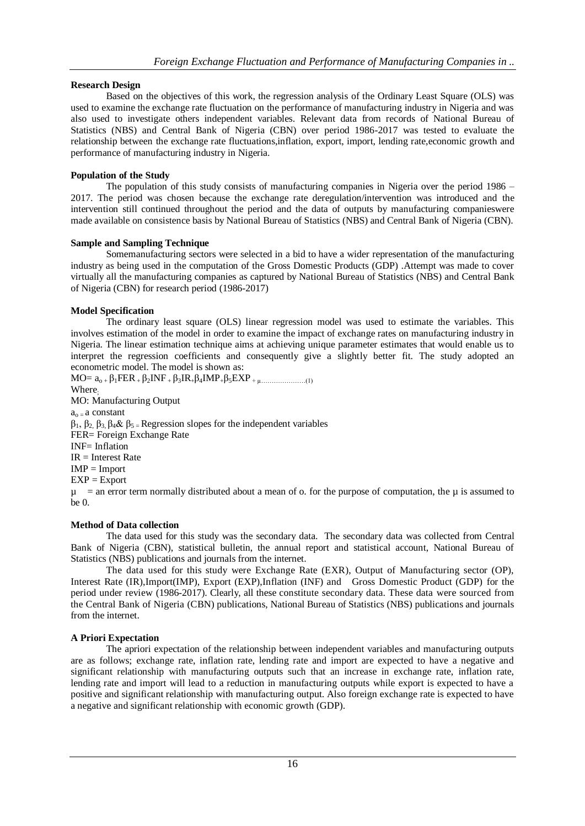# **Research Design**

Based on the objectives of this work, the regression analysis of the Ordinary Least Square (OLS) was used to examine the exchange rate fluctuation on the performance of manufacturing industry in Nigeria and was also used to investigate others independent variables. Relevant data from records of National Bureau of Statistics (NBS) and Central Bank of Nigeria (CBN) over period 1986-2017 was tested to evaluate the relationship between the exchange rate fluctuations,inflation, export, import, lending rate,economic growth and performance of manufacturing industry in Nigeria.

## **Population of the Study**

The population of this study consists of manufacturing companies in Nigeria over the period 1986 – 2017. The period was chosen because the exchange rate deregulation/intervention was introduced and the intervention still continued throughout the period and the data of outputs by manufacturing companieswere made available on consistence basis by National Bureau of Statistics (NBS) and Central Bank of Nigeria (CBN).

## **Sample and Sampling Technique**

Somemanufacturing sectors were selected in a bid to have a wider representation of the manufacturing industry as being used in the computation of the Gross Domestic Products (GDP) .Attempt was made to cover virtually all the manufacturing companies as captured by National Bureau of Statistics (NBS) and Central Bank of Nigeria (CBN) for research period (1986-2017)

## **Model Specification**

The ordinary least square (OLS) linear regression model was used to estimate the variables. This involves estimation of the model in order to examine the impact of exchange rates on manufacturing industry in Nigeria. The linear estimation technique aims at achieving unique parameter estimates that would enable us to interpret the regression coefficients and consequently give a slightly better fit. The study adopted an econometric model. The model is shown as:

 $MO= a_0 + β_1 FER + β_2 INF + β_3 IR + β_4 IMP + β_5 EXP + μ.................(1)$ Where. MO: Manufacturing Output  $a<sub>o</sub> - a constant$ β1, β2, β3, β4& β5 = Regression slopes for the independent variables FER= Foreign Exchange Rate INF= Inflation  $IR = Interest Rate$  $IMP = Import$  $EXP = Export$  $\mu$  = an error term normally distributed about a mean of o. for the purpose of computation, the  $\mu$  is assumed to  $he \theta$ 

## **Method of Data collection**

The data used for this study was the secondary data. The secondary data was collected from Central Bank of Nigeria (CBN), statistical bulletin, the annual report and statistical account, National Bureau of Statistics (NBS) publications and journals from the internet.

The data used for this study were Exchange Rate (EXR), Output of Manufacturing sector (OP), Interest Rate (IR),Import(IMP), Export (EXP),Inflation (INF) and Gross Domestic Product (GDP) for the period under review (1986-2017). Clearly, all these constitute secondary data. These data were sourced from the Central Bank of Nigeria (CBN) publications, National Bureau of Statistics (NBS) publications and journals from the internet.

# **A Priori Expectation**

The apriori expectation of the relationship between independent variables and manufacturing outputs are as follows; exchange rate, inflation rate, lending rate and import are expected to have a negative and significant relationship with manufacturing outputs such that an increase in exchange rate, inflation rate, lending rate and import will lead to a reduction in manufacturing outputs while export is expected to have a positive and significant relationship with manufacturing output. Also foreign exchange rate is expected to have a negative and significant relationship with economic growth (GDP).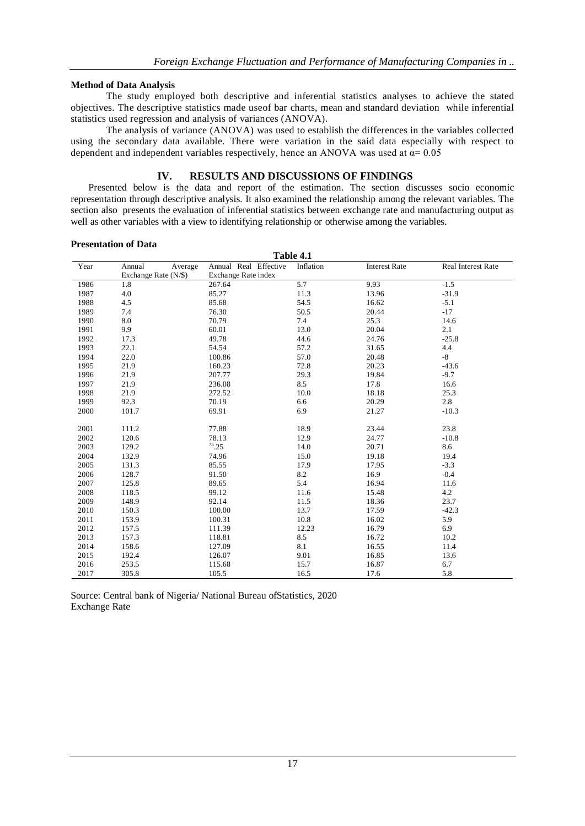## **Method of Data Analysis**

The study employed both descriptive and inferential statistics analyses to achieve the stated objectives. The descriptive statistics made useof bar charts, mean and standard deviation while inferential statistics used regression and analysis of variances (ANOVA).

The analysis of variance (ANOVA) was used to establish the differences in the variables collected using the secondary data available. There were variation in the said data especially with respect to dependent and independent variables respectively, hence an ANOVA was used at  $\alpha$ = 0.05

# **IV. RESULTS AND DISCUSSIONS OF FINDINGS**

Presented below is the data and report of the estimation. The section discusses socio economic representation through descriptive analysis. It also examined the relationship among the relevant variables. The section also presents the evaluation of inferential statistics between exchange rate and manufacturing output as well as other variables with a view to identifying relationship or otherwise among the variables.

## **Presentation of Data**

| Table 4.1 |                      |                       |           |                      |                    |  |  |  |  |
|-----------|----------------------|-----------------------|-----------|----------------------|--------------------|--|--|--|--|
| Year      | Annual<br>Average    | Annual Real Effective | Inflation | <b>Interest Rate</b> | Real Interest Rate |  |  |  |  |
|           | Exchange Rate (N/\$) | Exchange Rate index   |           |                      |                    |  |  |  |  |
| 1986      | 1.8                  | 267.64                | 5.7       | 9.93                 | $-1.5$             |  |  |  |  |
| 1987      | 4.0                  | 85.27                 | 11.3      | 13.96                | $-31.9$            |  |  |  |  |
| 1988      | 4.5                  | 85.68                 | 54.5      | 16.62                | $-5.1$             |  |  |  |  |
| 1989      | 7.4                  | 76.30                 | 50.5      | 20.44                | $-17$              |  |  |  |  |
| 1990      | 8.0                  | 70.79                 | 7.4       | 25.3                 | 14.6               |  |  |  |  |
| 1991      | 9.9                  | 60.01                 | 13.0      | 20.04                | 2.1                |  |  |  |  |
| 1992      | 17.3                 | 49.78                 | 44.6      | 24.76                | $-25.8$            |  |  |  |  |
| 1993      | 22.1                 | 54.54                 | 57.2      | 31.65                | 4.4                |  |  |  |  |
| 1994      | 22.0                 | 100.86                | 57.0      | 20.48                | $-8$               |  |  |  |  |
| 1995      | 21.9                 | 160.23                | 72.8      | 20.23                | $-43.6$            |  |  |  |  |
| 1996      | 21.9                 | 207.77                | 29.3      | 19.84                | $-9.7$             |  |  |  |  |
| 1997      | 21.9                 | 236.08                | 8.5       | 17.8                 | 16.6               |  |  |  |  |
| 1998      | 21.9                 | 272.52                | 10.0      | 18.18                | 25.3               |  |  |  |  |
| 1999      | 92.3                 | 70.19                 | 6.6       | 20.29                | 2.8                |  |  |  |  |
| 2000      | 101.7                | 69.91                 | 6.9       | 21.27                | $-10.3$            |  |  |  |  |
|           |                      |                       |           |                      |                    |  |  |  |  |
| 2001      | 111.2                | 77.88                 | 18.9      | 23.44                | 23.8               |  |  |  |  |
| 2002      | 120.6                | 78.13                 | 12.9      | 24.77                | $-10.8$            |  |  |  |  |
| 2003      | 129.2                | $^{73}$ .25           | 14.0      | 20.71                | 8.6                |  |  |  |  |
| 2004      | 132.9                | 74.96                 | 15.0      | 19.18                | 19.4               |  |  |  |  |
| 2005      | 131.3                | 85.55                 | 17.9      | 17.95                | $-3.3$             |  |  |  |  |
| 2006      | 128.7                | 91.50                 | 8.2       | 16.9                 | $-0.4$             |  |  |  |  |
| 2007      | 125.8                | 89.65                 | 5.4       | 16.94                | 11.6               |  |  |  |  |
| 2008      | 118.5                | 99.12                 | 11.6      | 15.48                | 4.2                |  |  |  |  |
| 2009      | 148.9                | 92.14                 | 11.5      | 18.36                | 23.7               |  |  |  |  |
| 2010      | 150.3                | 100.00                | 13.7      | 17.59                | $-42.3$            |  |  |  |  |
| 2011      | 153.9                | 100.31                | 10.8      | 16.02                | 5.9                |  |  |  |  |
| 2012      | 157.5                | 111.39                | 12.23     | 16.79                | 6.9                |  |  |  |  |
| 2013      | 157.3                | 118.81                | 8.5       | 16.72                | 10.2               |  |  |  |  |
| 2014      | 158.6                | 127.09                | 8.1       | 16.55                | 11.4               |  |  |  |  |
| 2015      | 192.4                | 126.07                | 9.01      | 16.85                | 13.6               |  |  |  |  |
| 2016      | 253.5                | 115.68                | 15.7      | 16.87                | 6.7                |  |  |  |  |
| 2017      | 305.8                | 105.5                 | 16.5      | 17.6                 | 5.8                |  |  |  |  |

Source: Central bank of Nigeria/ National Bureau ofStatistics, 2020 Exchange Rate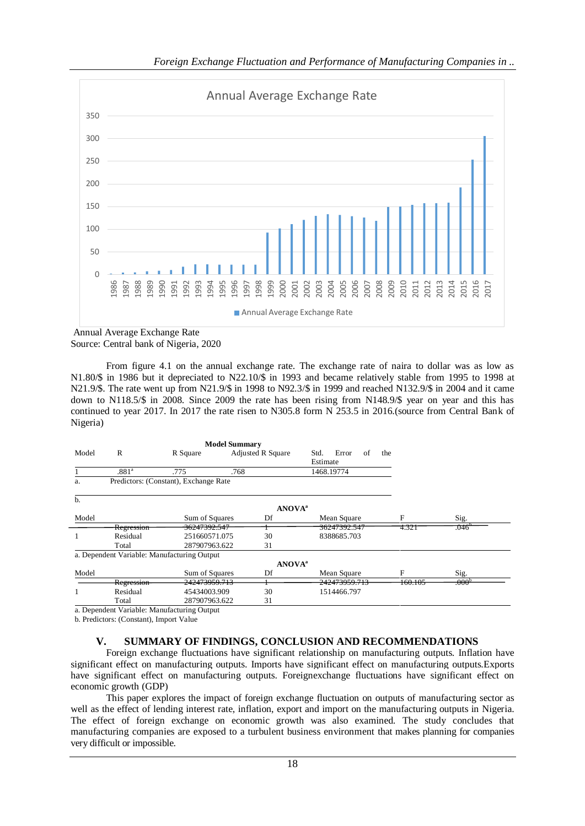

Annual Average Exchange Rate Source: Central bank of Nigeria, 2020

From figure 4.1 on the annual exchange rate. The exchange rate of naira to dollar was as low as N1.80/\$ in 1986 but it depreciated to N22.10/\$ in 1993 and became relatively stable from 1995 to 1998 at N21.9/\$. The rate went up from N21.9/\$ in 1998 to N92.3/\$ in 1999 and reached N132.9/\$ in 2004 and it came down to N118.5/\$ in 2008. Since 2009 the rate has been rising from N148.9/\$ year on year and this has continued to year 2017. In 2017 the rate risen to N305.8 form N 253.5 in 2016.(source from Central Bank of Nigeria)

| Model | R                 | R Square                                    | <b>Adjusted R Square</b> | Std.<br>Estimate          | Error         | of<br>the |         |                   |
|-------|-------------------|---------------------------------------------|--------------------------|---------------------------|---------------|-----------|---------|-------------------|
|       | .881 <sup>a</sup> | .775                                        | .768                     |                           | 1468.19774    |           |         |                   |
| a.    |                   | Predictors: (Constant), Exchange Rate       |                          |                           |               |           |         |                   |
| b.    |                   |                                             |                          |                           |               |           |         |                   |
|       |                   |                                             |                          | <b>ANOVA</b> <sup>a</sup> |               |           |         |                   |
| Model |                   | Sum of Squares                              | Df                       |                           | Mean Square   |           | F       | Sig.              |
|       | Regression        | 36247392.547                                |                          |                           | 36247392.547  |           | 4.321   | .046              |
|       | Residual          | 251660571.075                               | 30                       |                           | 8388685.703   |           |         |                   |
|       | Total             | 287907963.622                               | 31                       |                           |               |           |         |                   |
|       |                   | a. Dependent Variable: Manufacturing Output |                          |                           |               |           |         |                   |
|       |                   |                                             |                          | <b>ANOVA</b> <sup>a</sup> |               |           |         |                   |
| Model |                   | Sum of Squares                              | Df                       |                           | Mean Square   |           | F       | Sig.              |
|       | Regression        | 242473959.713                               |                          |                           | 242473959.713 |           | 160.105 | .000 <sup>b</sup> |
|       | Residual          | 45434003.909                                | 30                       |                           | 1514466.797   |           |         |                   |
|       | Total             | 287907963.622                               | 31                       |                           |               |           |         |                   |
|       |                   |                                             |                          |                           |               |           |         |                   |

a. Dependent Variable: Manufacturing Output

b. Predictors: (Constant), Import Value

## **V. SUMMARY OF FINDINGS, CONCLUSION AND RECOMMENDATIONS**

Foreign exchange fluctuations have significant relationship on manufacturing outputs. Inflation have significant effect on manufacturing outputs. Imports have significant effect on manufacturing outputs.Exports have significant effect on manufacturing outputs. Foreignexchange fluctuations have significant effect on economic growth (GDP)

This paper explores the impact of foreign exchange fluctuation on outputs of manufacturing sector as well as the effect of lending interest rate, inflation, export and import on the manufacturing outputs in Nigeria. The effect of foreign exchange on economic growth was also examined. The study concludes that manufacturing companies are exposed to a turbulent business environment that makes planning for companies very difficult or impossible.